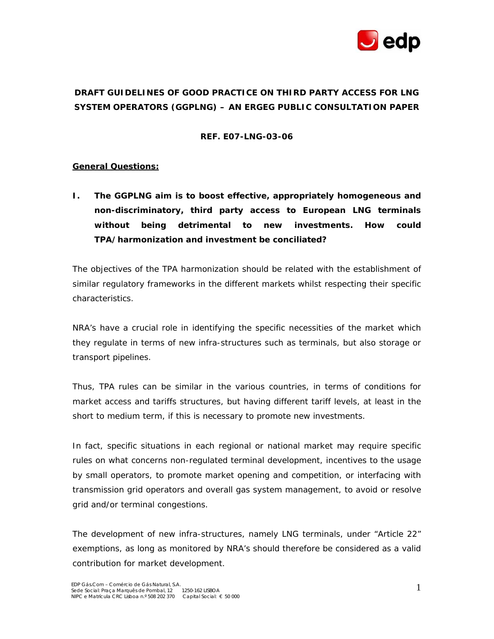

# **DRAFT GUIDELINES OF GOOD PRACTICE ON THIRD PARTY ACCESS FOR LNG SYSTEM OPERATORS (GGPLNG) – AN ERGEG PUBLIC CONSULTATION PAPER**

### **REF. E07-LNG-03-06**

# **General Questions:**

**I. The GGPLNG aim is to boost effective, appropriately homogeneous and non-discriminatory, third party access to European LNG terminals without being detrimental to new investments. How could TPA/harmonization and investment be conciliated?** 

The objectives of the TPA harmonization should be related with the establishment of similar regulatory frameworks in the different markets whilst respecting their specific characteristics.

NRA's have a crucial role in identifying the specific necessities of the market which they regulate in terms of new infra-structures such as terminals, but also storage or transport pipelines.

Thus, TPA rules can be similar in the various countries, in terms of conditions for market access and tariffs structures, but having different tariff levels, at least in the short to medium term, if this is necessary to promote new investments.

In fact, specific situations in each regional or national market may require specific rules on what concerns non-regulated terminal development, incentives to the usage by small operators, to promote market opening and competition, or interfacing with transmission grid operators and overall gas system management, to avoid or resolve grid and/or terminal congestions.

The development of new infra-structures, namely LNG terminals, under "Article 22" exemptions, as long as monitored by NRA's should therefore be considered as a valid contribution for market development.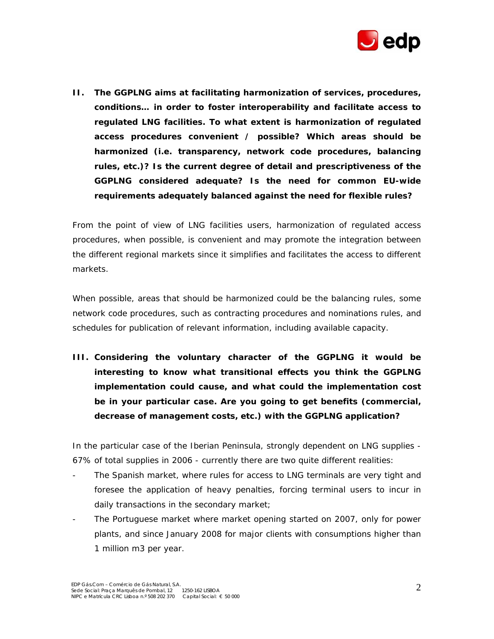

**II. The GGPLNG aims at facilitating harmonization of services, procedures, conditions… in order to foster interoperability and facilitate access to regulated LNG facilities. To what extent is harmonization of regulated access procedures convenient / possible? Which areas should be harmonized (i.e. transparency, network code procedures, balancing rules, etc.)? Is the current degree of detail and prescriptiveness of the GGPLNG considered adequate? Is the need for common EU-wide requirements adequately balanced against the need for flexible rules?** 

From the point of view of LNG facilities users, harmonization of regulated access procedures, when possible, is convenient and may promote the integration between the different regional markets since it simplifies and facilitates the access to different markets.

When possible, areas that should be harmonized could be the balancing rules, some network code procedures, such as contracting procedures and nominations rules, and schedules for publication of relevant information, including available capacity.

**III. Considering the voluntary character of the GGPLNG it would be interesting to know what transitional effects you think the GGPLNG implementation could cause, and what could the implementation cost be in your particular case. Are you going to get benefits (commercial, decrease of management costs, etc.) with the GGPLNG application?** 

In the particular case of the Iberian Peninsula, strongly dependent on LNG supplies - 67% of total supplies in 2006 - currently there are two quite different realities:

- The Spanish market, where rules for access to LNG terminals are very tight and foresee the application of heavy penalties, forcing terminal users to incur in daily transactions in the secondary market;
- The Portuguese market where market opening started on 2007, only for power plants, and since January 2008 for major clients with consumptions higher than 1 million m3 per year.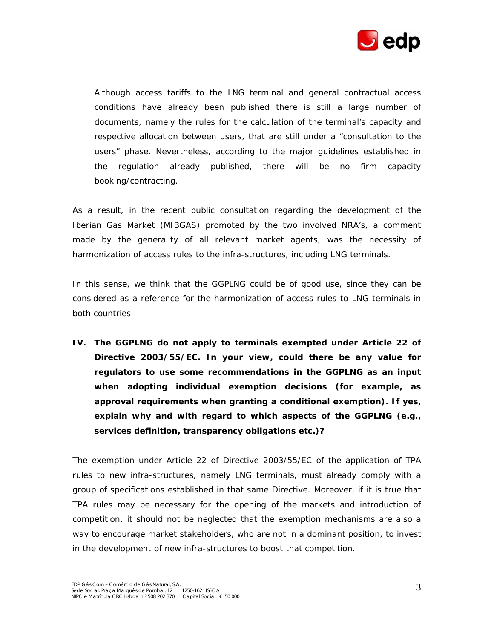

 Although access tariffs to the LNG terminal and general contractual access conditions have already been published there is still a large number of documents, namely the rules for the calculation of the terminal's capacity and respective allocation between users, that are still under a "consultation to the users" phase. Nevertheless, according to the major guidelines established in the regulation already published, there will be no firm capacity booking/contracting.

As a result, in the recent public consultation regarding the development of the Iberian Gas Market (MIBGAS) promoted by the two involved NRA's, a comment made by the generality of all relevant market agents, was the necessity of harmonization of access rules to the infra-structures, including LNG terminals.

In this sense, we think that the GGPLNG could be of good use, since they can be considered as a reference for the harmonization of access rules to LNG terminals in both countries.

**IV. The GGPLNG do not apply to terminals exempted under Article 22 of Directive 2003/55/EC. In your view, could there be any value for regulators to use some recommendations in the GGPLNG as an input when adopting individual exemption decisions (for example, as approval requirements when granting a conditional exemption). If yes, explain why and with regard to which aspects of the GGPLNG (e.g., services definition, transparency obligations etc.)?** 

The exemption under Article 22 of Directive 2003/55/EC of the application of TPA rules to new infra-structures, namely LNG terminals, must already comply with a group of specifications established in that same Directive. Moreover, if it is true that TPA rules may be necessary for the opening of the markets and introduction of competition, it should not be neglected that the exemption mechanisms are also a way to encourage market stakeholders, who are not in a dominant position, to invest in the development of new infra-structures to boost that competition.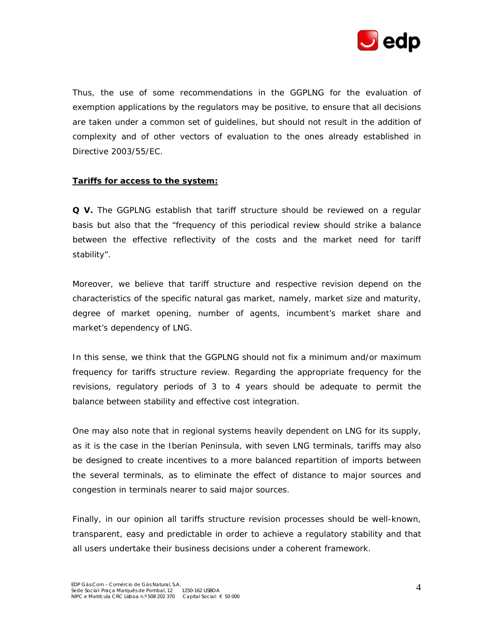

Thus, the use of some recommendations in the GGPLNG for the evaluation of exemption applications by the regulators may be positive, to ensure that all decisions are taken under a common set of guidelines, but should not result in the addition of complexity and of other vectors of evaluation to the ones already established in Directive 2003/55/EC.

#### **Tariffs for access to the system:**

**Q V.** The GGPLNG establish that tariff structure should be reviewed on a regular basis but also that the "frequency of this periodical review should strike a balance between the effective reflectivity of the costs and the market need for tariff stability".

Moreover, we believe that tariff structure and respective revision depend on the characteristics of the specific natural gas market, namely, market size and maturity, degree of market opening, number of agents, incumbent's market share and market's dependency of LNG.

In this sense, we think that the GGPLNG should not fix a minimum and/or maximum frequency for tariffs structure review. Regarding the appropriate frequency for the revisions, regulatory periods of 3 to 4 years should be adequate to permit the balance between stability and effective cost integration.

One may also note that in regional systems heavily dependent on LNG for its supply, as it is the case in the Iberian Peninsula, with seven LNG terminals, tariffs may also be designed to create incentives to a more balanced repartition of imports between the several terminals, as to eliminate the effect of distance to major sources and congestion in terminals nearer to said major sources.

Finally, in our opinion all tariffs structure revision processes should be well-known, transparent, easy and predictable in order to achieve a regulatory stability and that all users undertake their business decisions under a coherent framework.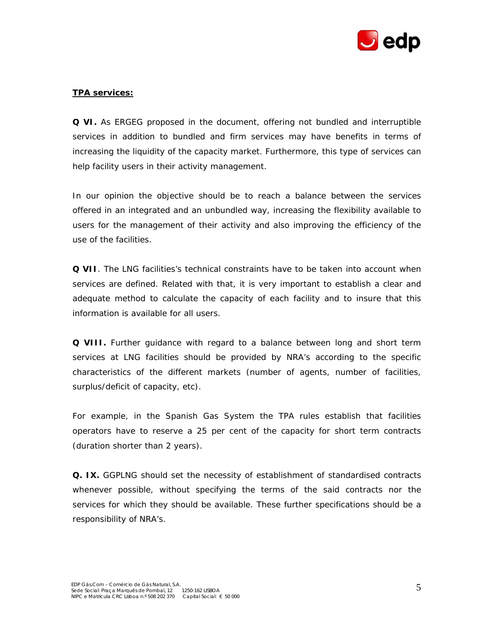

# **TPA services:**

**Q VI.** As ERGEG proposed in the document, offering not bundled and interruptible services in addition to bundled and firm services may have benefits in terms of increasing the liquidity of the capacity market. Furthermore, this type of services can help facility users in their activity management.

In our opinion the objective should be to reach a balance between the services offered in an integrated and an unbundled way, increasing the flexibility available to users for the management of their activity and also improving the efficiency of the use of the facilities.

**Q VII**. The LNG facilities's technical constraints have to be taken into account when services are defined. Related with that, it is very important to establish a clear and adequate method to calculate the capacity of each facility and to insure that this information is available for all users.

**Q VIII.** Further guidance with regard to a balance between long and short term services at LNG facilities should be provided by NRA's according to the specific characteristics of the different markets (number of agents, number of facilities, surplus/deficit of capacity, etc).

For example, in the Spanish Gas System the TPA rules establish that facilities operators have to reserve a 25 per cent of the capacity for short term contracts (duration shorter than 2 years).

**Q. IX.** GGPLNG should set the necessity of establishment of standardised contracts whenever possible, without specifying the terms of the said contracts nor the services for which they should be available. These further specifications should be a responsibility of NRA's.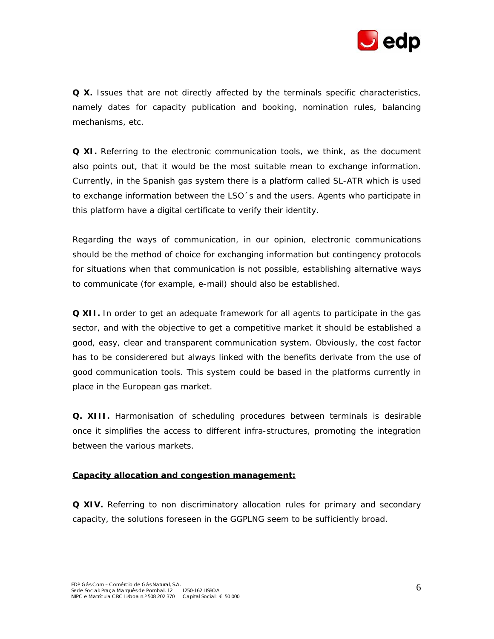

**Q X.** Issues that are not directly affected by the terminals specific characteristics, namely dates for capacity publication and booking, nomination rules, balancing mechanisms, etc.

**Q XI.** Referring to the electronic communication tools, we think, as the document also points out, that it would be the most suitable mean to exchange information. Currently, in the Spanish gas system there is a platform called SL-ATR which is used to exchange information between the LSO´s and the users. Agents who participate in this platform have a digital certificate to verify their identity.

Regarding the ways of communication, in our opinion, electronic communications should be the method of choice for exchanging information but contingency protocols for situations when that communication is not possible, establishing alternative ways to communicate (for example, e-mail) should also be established.

**Q XII.** In order to get an adequate framework for all agents to participate in the gas sector, and with the objective to get a competitive market it should be established a good, easy, clear and transparent communication system. Obviously, the cost factor has to be considerered but always linked with the benefits derivate from the use of good communication tools. This system could be based in the platforms currently in place in the European gas market.

**Q. XIII.** Harmonisation of scheduling procedures between terminals is desirable once it simplifies the access to different infra-structures, promoting the integration between the various markets.

#### **Capacity allocation and congestion management:**

**Q XIV.** Referring to non discriminatory allocation rules for primary and secondary capacity, the solutions foreseen in the GGPLNG seem to be sufficiently broad.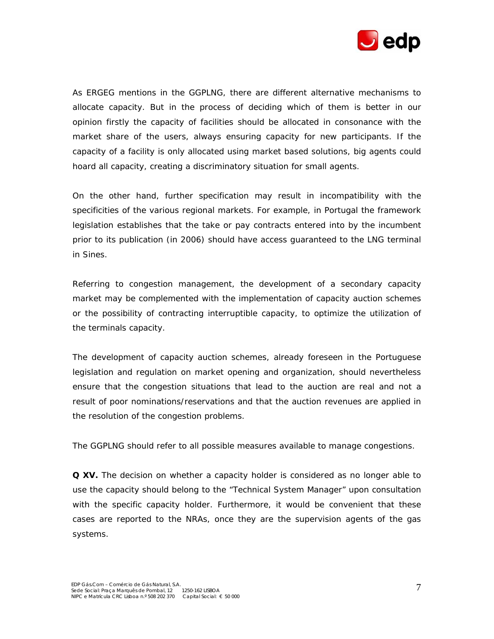

As ERGEG mentions in the GGPLNG, there are different alternative mechanisms to allocate capacity. But in the process of deciding which of them is better in our opinion firstly the capacity of facilities should be allocated in consonance with the market share of the users, always ensuring capacity for new participants. If the capacity of a facility is only allocated using market based solutions, big agents could hoard all capacity, creating a discriminatory situation for small agents.

On the other hand, further specification may result in incompatibility with the specificities of the various regional markets. For example, in Portugal the framework legislation establishes that the take or pay contracts entered into by the incumbent prior to its publication (in 2006) should have access guaranteed to the LNG terminal in Sines.

Referring to congestion management, the development of a secondary capacity market may be complemented with the implementation of capacity auction schemes or the possibility of contracting interruptible capacity, to optimize the utilization of the terminals capacity.

The development of capacity auction schemes, already foreseen in the Portuguese legislation and regulation on market opening and organization, should nevertheless ensure that the congestion situations that lead to the auction are real and not a result of poor nominations/reservations and that the auction revenues are applied in the resolution of the congestion problems.

The GGPLNG should refer to all possible measures available to manage congestions.

**Q XV.** The decision on whether a capacity holder is considered as no longer able to use the capacity should belong to the "Technical System Manager" upon consultation with the specific capacity holder. Furthermore, it would be convenient that these cases are reported to the NRAs, once they are the supervision agents of the gas systems.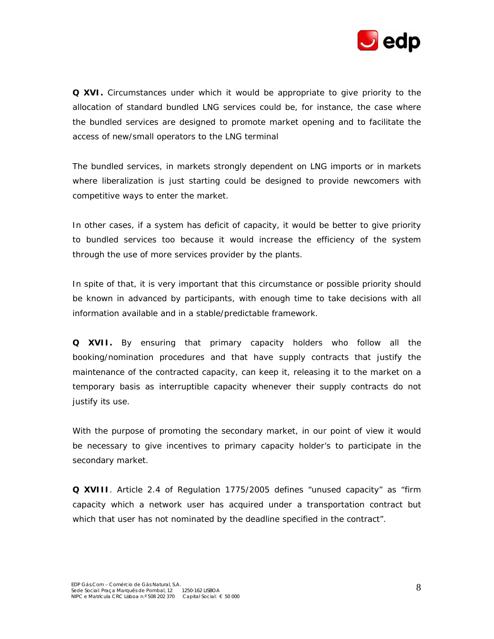

**Q XVI.** Circumstances under which it would be appropriate to give priority to the allocation of standard bundled LNG services could be, for instance, the case where the bundled services are designed to promote market opening and to facilitate the access of new/small operators to the LNG terminal

The bundled services, in markets strongly dependent on LNG imports or in markets where liberalization is just starting could be designed to provide newcomers with competitive ways to enter the market.

In other cases, if a system has deficit of capacity, it would be better to give priority to bundled services too because it would increase the efficiency of the system through the use of more services provider by the plants.

In spite of that, it is very important that this circumstance or possible priority should be known in advanced by participants, with enough time to take decisions with all information available and in a stable/predictable framework.

**Q XVII.** By ensuring that primary capacity holders who follow all the booking/nomination procedures and that have supply contracts that justify the maintenance of the contracted capacity, can keep it, releasing it to the market on a temporary basis as interruptible capacity whenever their supply contracts do not justify its use.

With the purpose of promoting the secondary market, in our point of view it would be necessary to give incentives to primary capacity holder's to participate in the secondary market.

**Q XVIII**. Article 2.4 of Regulation 1775/2005 defines "unused capacity" as "firm capacity which a network user has acquired under a transportation contract but which that user has not nominated by the deadline specified in the contract".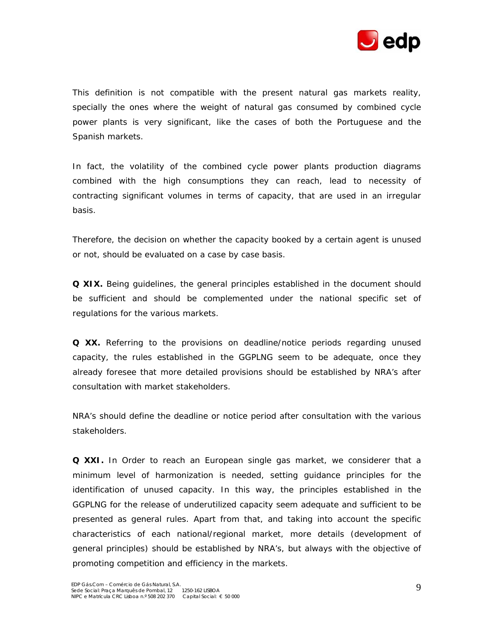

This definition is not compatible with the present natural gas markets reality, specially the ones where the weight of natural gas consumed by combined cycle power plants is very significant, like the cases of both the Portuguese and the Spanish markets.

In fact, the volatility of the combined cycle power plants production diagrams combined with the high consumptions they can reach, lead to necessity of contracting significant volumes in terms of capacity, that are used in an irregular basis.

Therefore, the decision on whether the capacity booked by a certain agent is unused or not, should be evaluated on a case by case basis.

**Q XIX.** Being guidelines, the general principles established in the document should be sufficient and should be complemented under the national specific set of regulations for the various markets.

**Q XX.** Referring to the provisions on deadline/notice periods regarding unused capacity, the rules established in the GGPLNG seem to be adequate, once they already foresee that more detailed provisions should be established by NRA's after consultation with market stakeholders.

NRA's should define the deadline or notice period after consultation with the various stakeholders.

**Q XXI.** In Order to reach an European single gas market, we considerer that a minimum level of harmonization is needed, setting guidance principles for the identification of unused capacity. In this way, the principles established in the GGPLNG for the release of underutilized capacity seem adequate and sufficient to be presented as general rules. Apart from that, and taking into account the specific characteristics of each national/regional market, more details (development of general principles) should be established by NRA's, but always with the objective of promoting competition and efficiency in the markets.